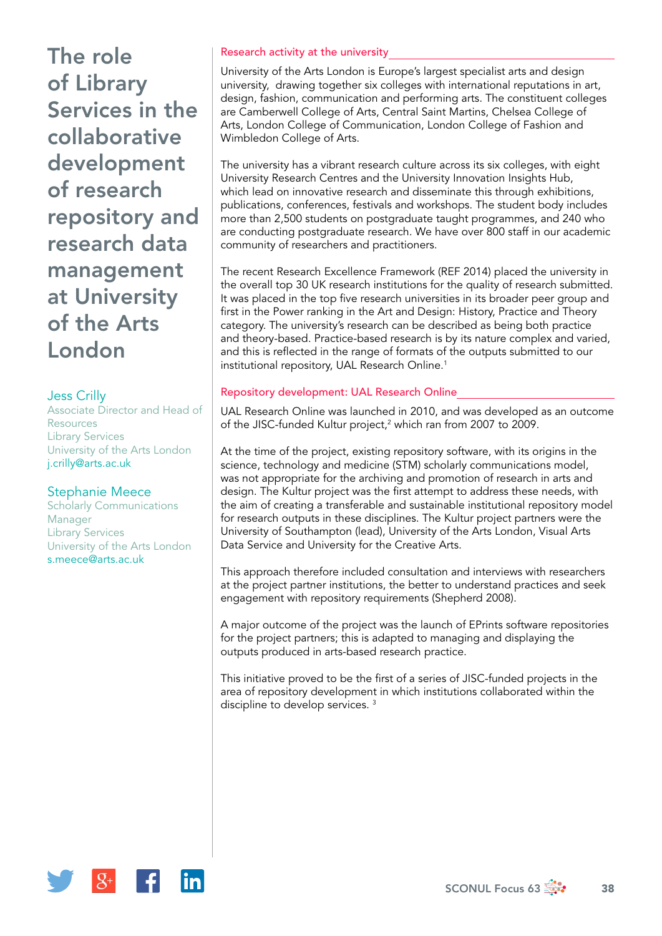## Jess Crilly

Associate Director and Head of Resources Library Services University of the Arts London [j.crilly@arts.ac.uk](mailto:j.crilly@arts.ac.uk)

#### Stephanie Meece

Scholarly Communications Manager Library Services University of the Arts London [s.meece@arts.ac.uk](mailto:s.meece@arts.ac.uk)

#### Research activity at the university

University of the Arts London is Europe's largest specialist arts and design university, drawing together six colleges with international reputations in art, design, fashion, communication and performing arts. The constituent colleges are Camberwell College of Arts, Central Saint Martins, Chelsea College of Arts, London College of Communication, London College of Fashion and Wimbledon College of Arts.

The university has a vibrant research culture across its six colleges, with eight University Research Centres and the University Innovation Insights Hub, which lead on innovative research and disseminate this through exhibitions, publications, conferences, festivals and workshops. The student body includes more than 2,500 students on postgraduate taught programmes, and 240 who are conducting postgraduate research. We have over 800 staff in our academic community of researchers and practitioners.

The recent Research Excellence Framework (REF 2014) placed the university in the overall top 30 UK research institutions for the quality of research submitted. It was placed in the top five research universities in its broader peer group and first in the Power ranking in the Art and Design: History, Practice and Theory category. The university's research can be described as being both practice and theory-based. Practice-based research is by its nature complex and varied, and this is reflected in the range of formats of the outputs submitted to our institutional repository, UAL Research Online.<sup>1</sup>

## Repository development: UAL Research Online

UAL Research Online was launched in 2010, and was developed as an outcome of the JISC-funded Kultur project,2 which ran from 2007 to 2009.

At the time of the project, existing repository software, with its origins in the science, technology and medicine (STM) scholarly communications model, was not appropriate for the archiving and promotion of research in arts and design. The Kultur project was the first attempt to address these needs, with the aim of creating a transferable and sustainable institutional repository model for research outputs in these disciplines. The Kultur project partners were the University of Southampton (lead), University of the Arts London, Visual Arts Data Service and University for the Creative Arts.

This approach therefore included consultation and interviews with researchers at the project partner institutions, the better to understand practices and seek engagement with repository requirements (Shepherd 2008).

A major outcome of the project was the launch of EPrints software repositories for the project partners; this is adapted to managing and displaying the outputs produced in arts-based research practice.

This initiative proved to be the first of a series of JISC-funded projects in the area of repository development in which institutions collaborated within the discipline to develop services. 3

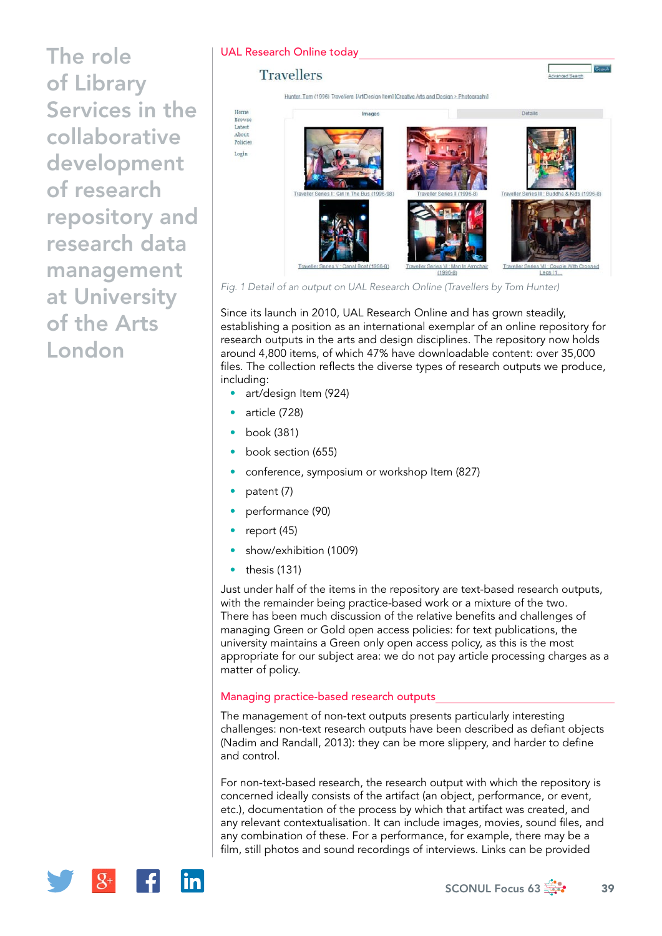## UAL Research Online today

## **Travellers**

Hunter, Tom (1996) Travellers. [Art/Design Item] [Creative Arts and Design > Photography]



*Fig. 1 Detail of an output on UAL Research Online (Travellers by Tom Hunter)*

Since its launch in 2010, UAL Research Online and has grown steadily, establishing a position as an international exemplar of an online repository for research outputs in the arts and design disciplines. The repository now holds around 4,800 items, of which 47% have downloadable content: over 35,000 files. The collection reflects the diverse types of research outputs we produce, including:

- art/design Item (924)
- article (728)
- book (381)
- book section (655)
- conference, symposium or workshop Item (827)
- patent (7)
- performance (90)
- report (45)
- show/exhibition (1009)
- thesis (131)

Just under half of the items in the repository are text-based research outputs, with the remainder being practice-based work or a mixture of the two. There has been much discussion of the relative benefits and challenges of managing Green or Gold open access policies: for text publications, the university maintains a Green only open access policy, as this is the most appropriate for our subject area: we do not pay article processing charges as a matter of policy.

# Managing practice-based research outputs

The management of non-text outputs presents particularly interesting challenges: non-text research outputs have been described as defiant objects (Nadim and Randall, 2013): they can be more slippery, and harder to define and control.

For non-text-based research, the research output with which the repository is concerned ideally consists of the artifact (an object, performance, or event, etc.), documentation of the process by which that artifact was created, and any relevant contextualisation. It can include images, movies, sound files, and any combination of these. For a performance, for example, there may be a film, still photos and sound recordings of interviews. Links can be provided

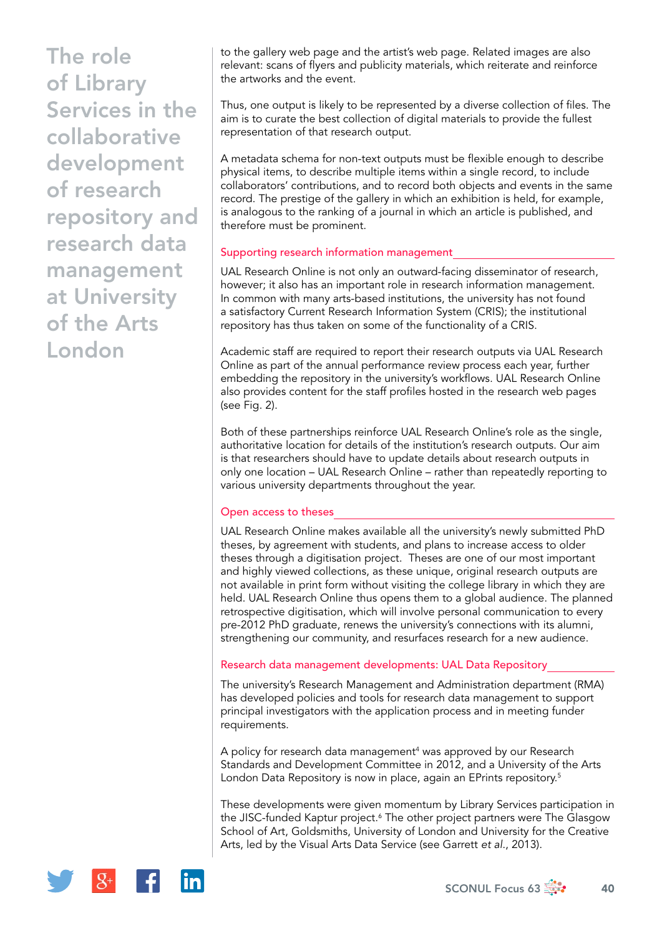to the gallery web page and the artist's web page. Related images are also relevant: scans of flyers and publicity materials, which reiterate and reinforce the artworks and the event.

Thus, one output is likely to be represented by a diverse collection of files. The aim is to curate the best collection of digital materials to provide the fullest representation of that research output.

A metadata schema for non-text outputs must be flexible enough to describe physical items, to describe multiple items within a single record, to include collaborators' contributions, and to record both objects and events in the same record. The prestige of the gallery in which an exhibition is held, for example, is analogous to the ranking of a journal in which an article is published, and therefore must be prominent.

## Supporting research information management

UAL Research Online is not only an outward-facing disseminator of research, however; it also has an important role in research information management. In common with many arts-based institutions, the university has not found a satisfactory Current Research Information System (CRIS); the institutional repository has thus taken on some of the functionality of a CRIS.

Academic staff are required to report their research outputs via UAL Research Online as part of the annual performance review process each year, further embedding the repository in the university's workflows. UAL Research Online also provides content for the staff profiles hosted in the research web pages (see Fig. 2).

Both of these partnerships reinforce UAL Research Online's role as the single, authoritative location for details of the institution's research outputs. Our aim is that researchers should have to update details about research outputs in only one location – UAL Research Online – rather than repeatedly reporting to various university departments throughout the year.

# Open access to theses

UAL Research Online makes available all the university's newly submitted PhD theses, by agreement with students, and plans to increase access to older theses through a digitisation project. Theses are one of our most important and highly viewed collections, as these unique, original research outputs are not available in print form without visiting the college library in which they are held. UAL Research Online thus opens them to a global audience. The planned retrospective digitisation, which will involve personal communication to every pre-2012 PhD graduate, renews the university's connections with its alumni, strengthening our community, and resurfaces research for a new audience.

#### Research data management developments: UAL Data Repository

The university's Research Management and Administration department (RMA) has developed policies and tools for research data management to support principal investigators with the application process and in meeting funder requirements.

A policy for research data management<sup>4</sup> was approved by our Research Standards and Development Committee in 2012, and a University of the Arts London Data Repository is now in place, again an EPrints repository.<sup>5</sup>

These developments were given momentum by Library Services participation in the JISC-funded Kaptur project.<sup>6</sup> The other project partners were The Glasgow School of Art, Goldsmiths, University of London and University for the Creative Arts, led by the Visual Arts Data Service (see Garrett *et al*., 2013).

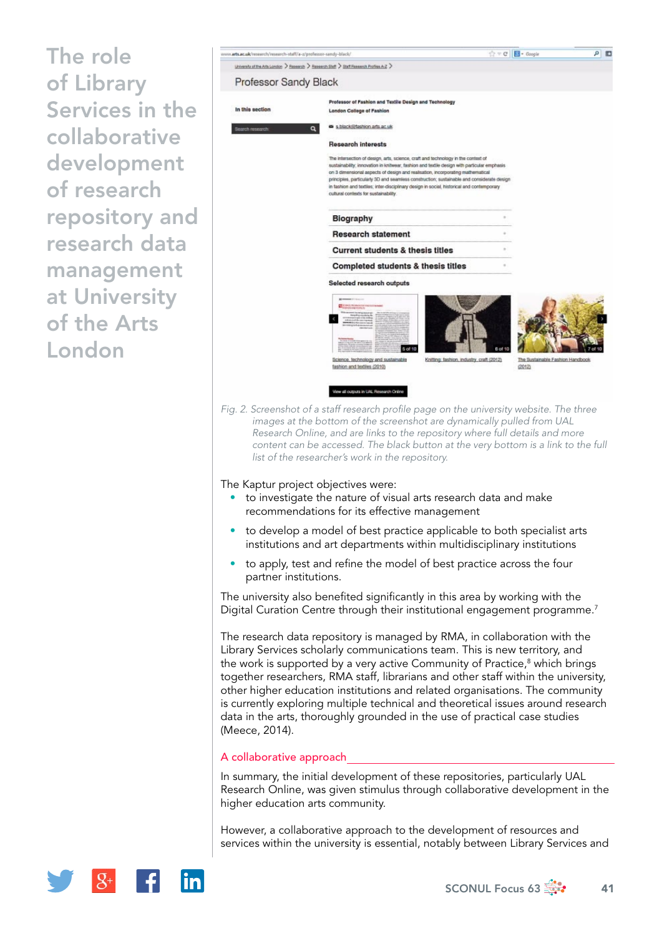

The university also benefited significantly in this area by working with the Digital Curation Centre through their institutional engagement programme.<sup>7</sup>

The research data repository is managed by RMA, in collaboration with the Library Services scholarly communications team. This is new territory, and the work is supported by a very active Community of Practice,<sup>8</sup> which brings together researchers, RMA staff, librarians and other staff within the university, other higher education institutions and related organisations. The community is currently exploring multiple technical and theoretical issues around research data in the arts, thoroughly grounded in the use of practical case studies (Meece, 2014).

#### A collaborative approach

In summary, the initial development of these repositories, particularly UAL Research Online, was given stimulus through collaborative development in the higher education arts community.

However, a collaborative approach to the development of resources and services within the university is essential, notably between Library Services and

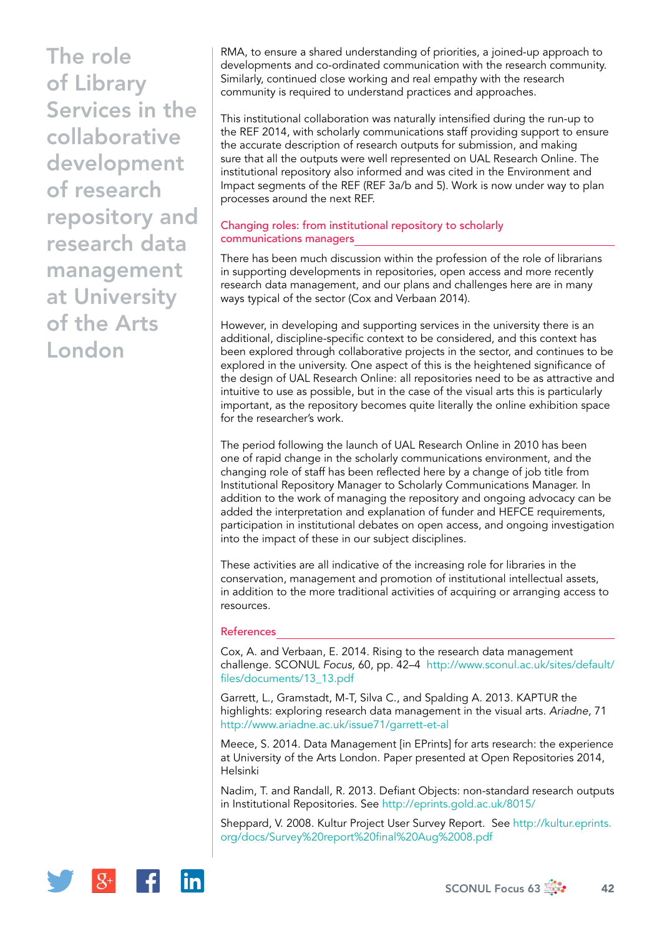RMA, to ensure a shared understanding of priorities, a joined-up approach to developments and co-ordinated communication with the research community. Similarly, continued close working and real empathy with the research community is required to understand practices and approaches.

This institutional collaboration was naturally intensified during the run-up to the REF 2014, with scholarly communications staff providing support to ensure the accurate description of research outputs for submission, and making sure that all the outputs were well represented on UAL Research Online. The institutional repository also informed and was cited in the Environment and Impact segments of the REF (REF 3a/b and 5). Work is now under way to plan processes around the next REF.

# Changing roles: from institutional repository to scholarly communications managers

There has been much discussion within the profession of the role of librarians in supporting developments in repositories, open access and more recently research data management, and our plans and challenges here are in many ways typical of the sector (Cox and Verbaan 2014).

However, in developing and supporting services in the university there is an additional, discipline-specific context to be considered, and this context has been explored through collaborative projects in the sector, and continues to be explored in the university. One aspect of this is the heightened significance of the design of UAL Research Online: all repositories need to be as attractive and intuitive to use as possible, but in the case of the visual arts this is particularly important, as the repository becomes quite literally the online exhibition space for the researcher's work.

The period following the launch of UAL Research Online in 2010 has been one of rapid change in the scholarly communications environment, and the changing role of staff has been reflected here by a change of job title from Institutional Repository Manager to Scholarly Communications Manager. In addition to the work of managing the repository and ongoing advocacy can be added the interpretation and explanation of funder and HEFCE requirements, participation in institutional debates on open access, and ongoing investigation into the impact of these in our subject disciplines.

These activities are all indicative of the increasing role for libraries in the conservation, management and promotion of institutional intellectual assets, in addition to the more traditional activities of acquiring or arranging access to resources.

# References

Cox, A. and Verbaan, E. 2014. Rising to the research data management challenge. SCONUL *Focus*, 60, pp. 42–4 [http://www.sconul.ac.uk/sites/default/](http://www.sconul.ac.uk/sites/default/files/documents/13_13.pdf) [files/documents/13\\_13.pdf](http://www.sconul.ac.uk/sites/default/files/documents/13_13.pdf)

Garrett, L., Gramstadt, M-T, Silva C., and Spalding A. 2013. KAPTUR the highlights: exploring research data management in the visual arts. *Ariadne*, 71 <http://www.ariadne.ac.uk/issue71/garrett-et-al>

Meece, S. 2014. Data Management [in EPrints] for arts research: the experience at University of the Arts London. Paper presented at Open Repositories 2014, Helsinki

Nadim, T. and Randall, R. 2013. Defiant Objects: non-standard research outputs in Institutional Repositories. See <http://eprints.gold.ac.uk/8015/>

Sheppard, V. 2008. Kultur Project User Survey Report. See [http://kultur.eprints.](http://kultur.eprints.org/docs/Survey%20report%20final%20Aug%2008.pdf) [org/docs/Survey%20report%20final%20Aug%2008.pdf](http://kultur.eprints.org/docs/Survey%20report%20final%20Aug%2008.pdf)